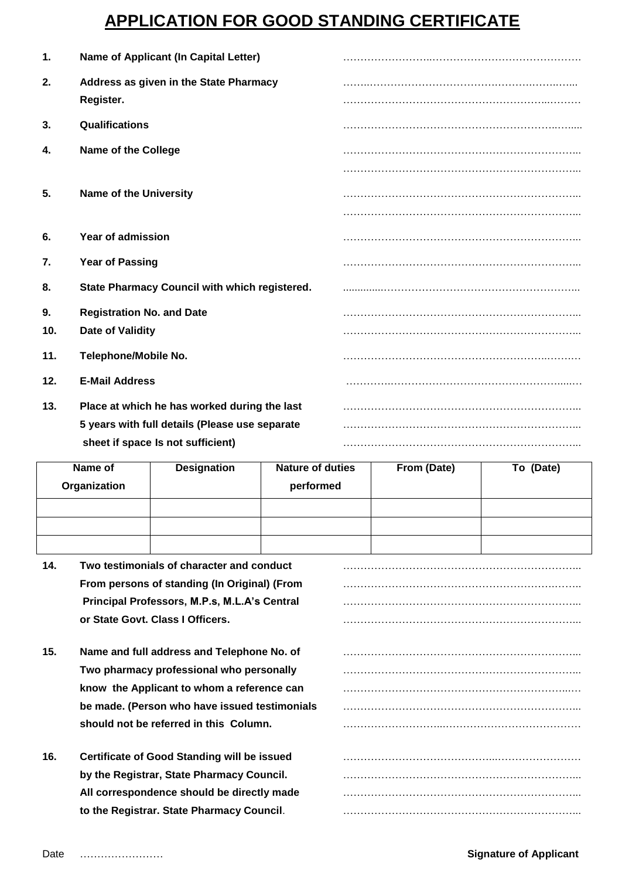## **APPLICATION FOR GOOD STANDING CERTIFICATE**

| 1.  | <b>Name of Applicant (In Capital Letter)</b>        |  |
|-----|-----------------------------------------------------|--|
| 2.  | Address as given in the State Pharmacy<br>Register. |  |
| 3.  | Qualifications                                      |  |
| 4.  | <b>Name of the College</b>                          |  |
|     |                                                     |  |
| 5.  | <b>Name of the University</b>                       |  |
|     |                                                     |  |
| 6.  | Year of admission                                   |  |
| 7.  | <b>Year of Passing</b>                              |  |
| 8.  | State Pharmacy Council with which registered.       |  |
| 9.  | <b>Registration No. and Date</b>                    |  |
| 10. | <b>Date of Validity</b>                             |  |
| 11. | Telephone/Mobile No.                                |  |
| 12. | <b>E-Mail Address</b>                               |  |
| 13. | Place at which he has worked during the last        |  |
|     | 5 years with full details (Please use separate      |  |
|     | sheet if space Is not sufficient)                   |  |

| Name of      | <b>Designation</b> | <b>Nature of duties</b> | From (Date) | To (Date) |
|--------------|--------------------|-------------------------|-------------|-----------|
| Organization |                    | performed               |             |           |
|              |                    |                         |             |           |
|              |                    |                         |             |           |
|              |                    |                         |             |           |

| 14. | Two testimonials of character and conduct          |  |
|-----|----------------------------------------------------|--|
|     | From persons of standing (In Original) (From       |  |
|     | Principal Professors, M.P.s, M.L.A's Central       |  |
|     | or State Govt. Class I Officers.                   |  |
| 15. | Name and full address and Telephone No. of         |  |
|     | Two pharmacy professional who personally           |  |
|     | know the Applicant to whom a reference can         |  |
|     | be made. (Person who have issued testimonials      |  |
|     | should not be referred in this Column.             |  |
| 16. | <b>Certificate of Good Standing will be issued</b> |  |
|     | by the Registrar, State Pharmacy Council.          |  |
|     | All correspondence should be directly made         |  |
|     | to the Registrar. State Pharmacy Council.          |  |